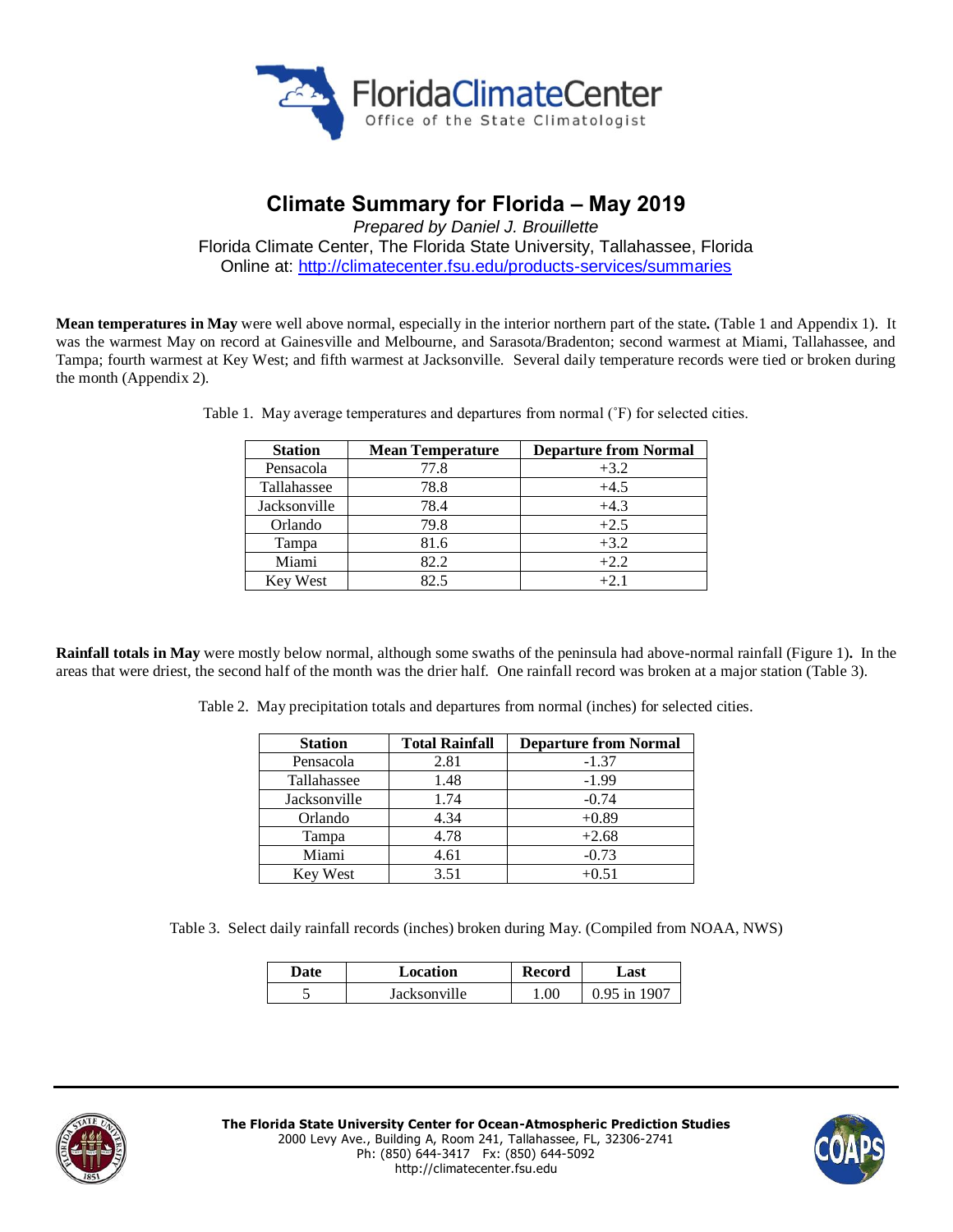

# **Climate Summary for Florida – May 2019**

*Prepared by Daniel J. Brouillette*

Florida Climate Center, The Florida State University, Tallahassee, Florida Online at:<http://climatecenter.fsu.edu/products-services/summaries>

**Mean temperatures in May** were well above normal, especially in the interior northern part of the state**.** (Table 1 and Appendix 1). It was the warmest May on record at Gainesville and Melbourne, and Sarasota/Bradenton; second warmest at Miami, Tallahassee, and Tampa; fourth warmest at Key West; and fifth warmest at Jacksonville. Several daily temperature records were tied or broken during the month (Appendix 2).

| <b>Station</b>  | <b>Mean Temperature</b> | <b>Departure from Normal</b> |
|-----------------|-------------------------|------------------------------|
| Pensacola       | 77.8                    | $+3.2$                       |
| Tallahassee     | 78.8                    | $+4.5$                       |
| Jacksonville    | 78.4                    | $+4.3$                       |
| Orlando         | 79.8                    | $+2.5$                       |
| Tampa           | 81.6                    | $+3.2$                       |
| Miami           | 82.2                    | $+2.2$                       |
| <b>Key West</b> | 82.5                    | $+2.1$                       |

Table 1. May average temperatures and departures from normal ( $\hat{F}$ ) for selected cities.

**Rainfall totals in May** were mostly below normal, although some swaths of the peninsula had above-normal rainfall (Figure 1)**.** In the areas that were driest, the second half of the month was the drier half. One rainfall record was broken at a major station (Table 3).

Table 2. May precipitation totals and departures from normal (inches) for selected cities.

| <b>Station</b>  | <b>Total Rainfall</b> | <b>Departure from Normal</b> |
|-----------------|-----------------------|------------------------------|
| Pensacola       | 2.81                  | $-1.37$                      |
| Tallahassee     | 1.48                  | $-1.99$                      |
| Jacksonville    | 1.74                  | $-0.74$                      |
| Orlando         | 4.34                  | $+0.89$                      |
| Tampa           | 4.78                  | $+2.68$                      |
| Miami           | 4.61                  | $-0.73$                      |
| <b>Key West</b> | 3.51                  | $+0.51$                      |

Table 3. Select daily rainfall records (inches) broken during May. (Compiled from NOAA, NWS)

| Date | Location     | Record | ⊿ast                   |  |
|------|--------------|--------|------------------------|--|
| ັ    | Jacksonville | .00    | $190^{-}$<br>$0.95$ in |  |



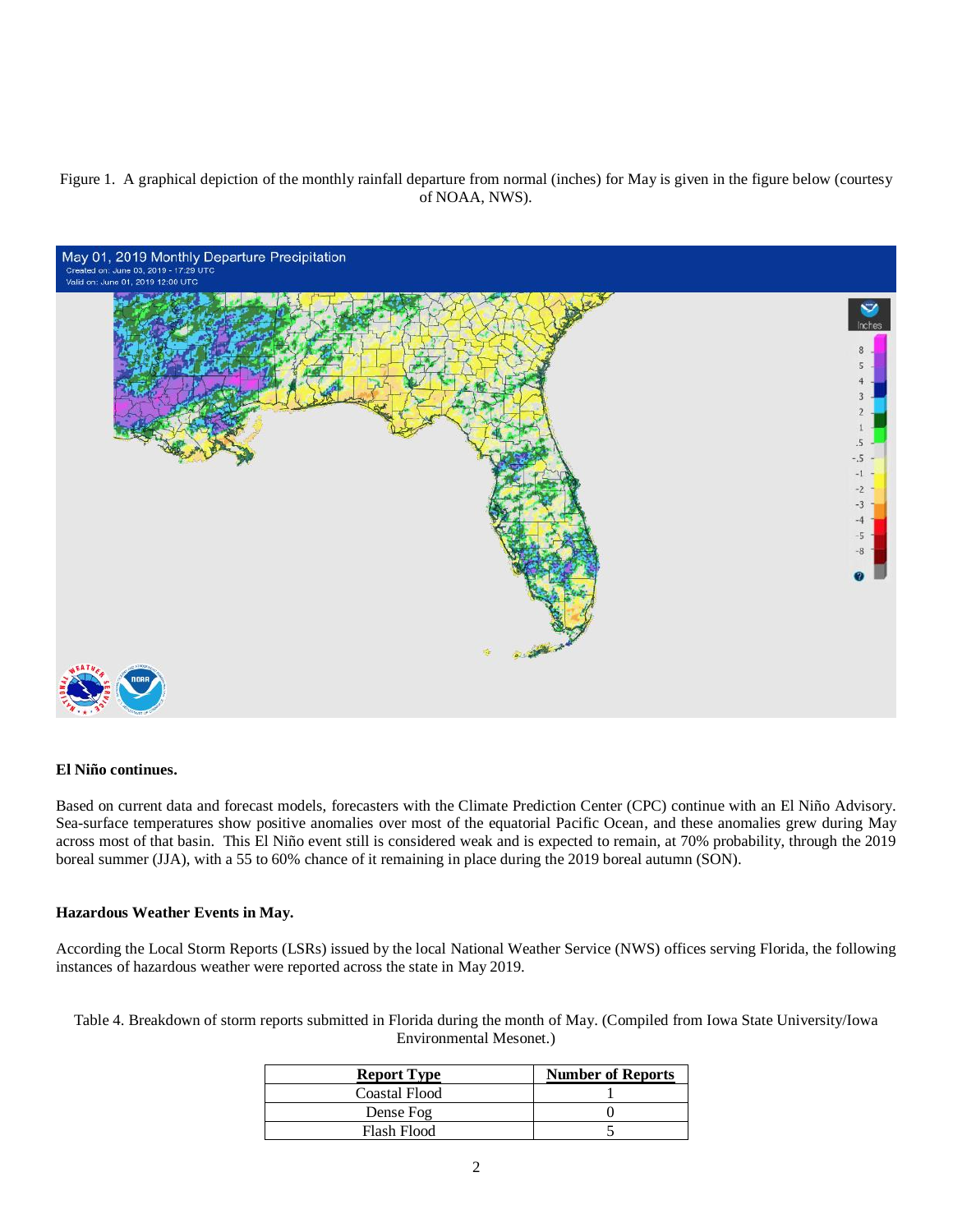# Figure 1. A graphical depiction of the monthly rainfall departure from normal (inches) for May is given in the figure below (courtesy of NOAA, NWS).



### **El Niño continues.**

Based on current data and forecast models, forecasters with the Climate Prediction Center (CPC) continue with an El Niño Advisory. Sea-surface temperatures show positive anomalies over most of the equatorial Pacific Ocean, and these anomalies grew during May across most of that basin. This El Niño event still is considered weak and is expected to remain, at 70% probability, through the 2019 boreal summer (JJA), with a 55 to 60% chance of it remaining in place during the 2019 boreal autumn (SON).

#### **Hazardous Weather Events in May.**

According the Local Storm Reports (LSRs) issued by the local National Weather Service (NWS) offices serving Florida, the following instances of hazardous weather were reported across the state in May 2019.

Table 4. Breakdown of storm reports submitted in Florida during the month of May. (Compiled from Iowa State University/Iowa Environmental Mesonet.)

| <b>Report Type</b>   | <b>Number of Reports</b> |  |
|----------------------|--------------------------|--|
| <b>Coastal Flood</b> |                          |  |
| Dense Fog            |                          |  |
| Flash Flood          |                          |  |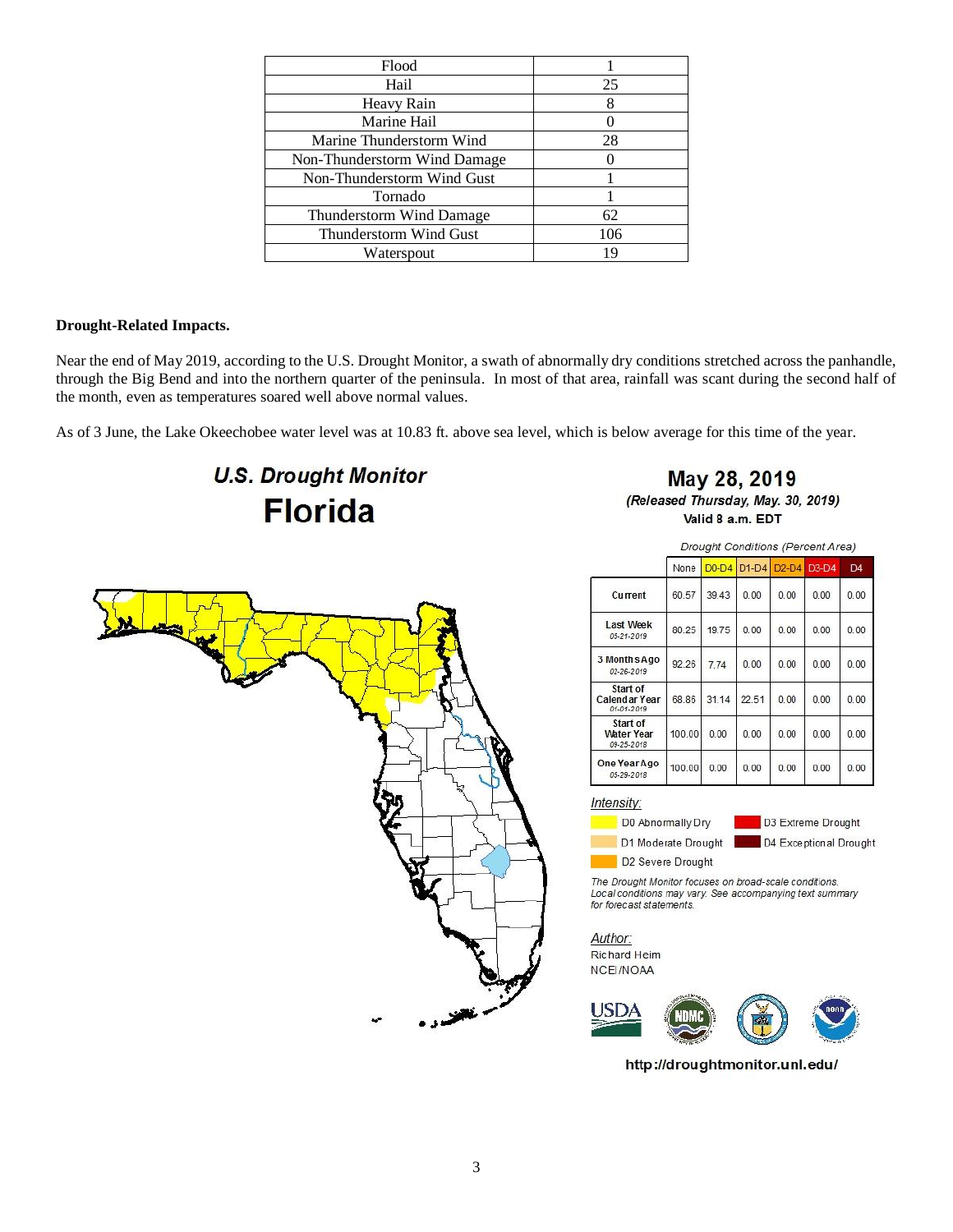| Flood                        |     |
|------------------------------|-----|
| Hail                         | 25  |
| Heavy Rain                   |     |
| Marine Hail                  |     |
| Marine Thunderstorm Wind     | 28  |
| Non-Thunderstorm Wind Damage |     |
| Non-Thunderstorm Wind Gust   |     |
| Tornado                      |     |
| Thunderstorm Wind Damage     | 62  |
| Thunderstorm Wind Gust       | 106 |
| Waterspout                   |     |
|                              |     |

# **Drought-Related Impacts.**

Near the end of May 2019, according to the U.S. Drought Monitor, a swath of abnormally dry conditions stretched across the panhandle, through the Big Bend and into the northern quarter of the peninsula. In most of that area, rainfall was scant during the second half of the month, even as temperatures soared well above normal values.

As of 3 June, the Lake Okeechobee water level was at 10.83 ft. above sea level, which is below average for this time of the year.

# **U.S. Drought Monitor Florida**

May 28, 2019 (Released Thursday, May. 30, 2019) Valid 8 a.m. EDT



Drought Conditions (Percent Area)

|                                             | None   | $D0-D4$ | $D1-D4$ |      | D <sub>2</sub> -D <sub>4</sub> D <sub>3</sub> -D <sub>4</sub> | D <sub>4</sub> |
|---------------------------------------------|--------|---------|---------|------|---------------------------------------------------------------|----------------|
| Current                                     | 60.57  | 39.43   | 0.00    | 0.00 | 0.00                                                          | 0.00           |
| <b>Last Week</b><br>05-21-2019              | 80 25  | 19.75   | 0.00    | 0.00 | 0.00                                                          | 0.00           |
| 3 Months Ago<br>02-26-2019                  | 92.26  | 774     | 0.00    | 0.00 | 0.00                                                          | 0.00           |
| Start of<br>Calendar Year<br>01-01-2019     | 68.86  | 31.14   | 22.51   | 0.00 | 0.00                                                          | 0.00           |
| Start of<br><b>Water Year</b><br>09-25-2018 | 100.00 | 0.00    | 0.00    | 0.00 | 0.00                                                          | 0.00           |
| One Year Ago<br>05-29-2018                  | 100.00 | 0.00    | 0.00    | 0.00 | 0.00                                                          | 0.00           |

Intensity:

D0 Abnormally Dry D1 Moderate Drought

D3 Extreme Drought D4 Exceptional Drought

D2 Severe Drought

The Drought Monitor focuses on broad-scale conditions.<br>Local conditions may vary. See accompanying text summary for forecast statements.

Author: Richard Heim NCEI/NOAA



http://droughtmonitor.unl.edu/